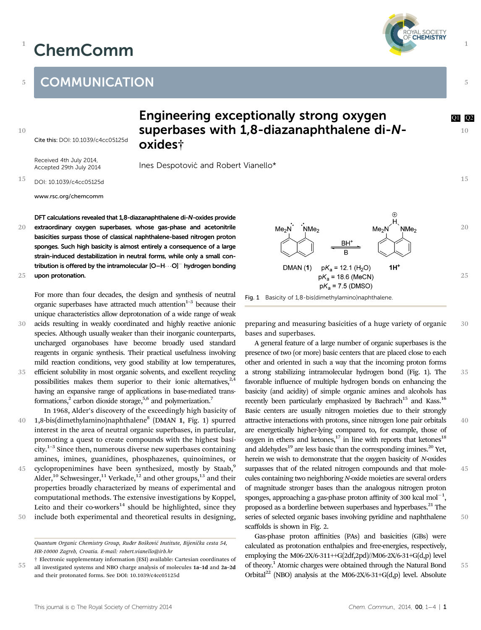## ChemComm



1

5

10

15

35

40

45

50

55

1

## **COMMUNICATION**

10

Cite this: DOI: 10.1039/c4cc05125d

Received 4th July 2014, Accepted 29th July 2014

## Engineering exceptionally strong oxygen and all posterior and particle and all posteriors of  $\alpha$ superbases with 1,8-diazanaphthalene di-Noxides†

Ines Despotović and Robert Vianello\*

15 DOI: 10.1039/c4cc05125d

www.rsc.org/chemcomm

DFT calculations revealed that 1,8-diazanaphthalene di-N-oxides provide extraordinary oxygen superbases, whose gas-phase and acetonitrile basicities surpass those of classical naphthalene-based nitrogen proton sponges. Such high basicity is almost entirely a consequence of a large strain-induced destabilization in neutral forms, while only a small contribution is offered by the intramolecular  $[O-H\cdots O]^-$  hydrogen bonding upon protonation. 20 25

For more than four decades, the design and synthesis of neutral organic superbases have attracted much attention<sup> $1-3$ </sup> because their unique characteristics allow deprotonation of a wide range of weak

- acids resulting in weakly coordinated and highly reactive anionic species. Although usually weaker than their inorganic counterparts, uncharged organobases have become broadly used standard reagents in organic synthesis. Their practical usefulness involving mild reaction conditions, very good stability at low temperatures, efficient solubility in most organic solvents, and excellent recycling possibilities makes them superior to their ionic alternatives,  $2,4$ having an expansive range of applications in base-mediated transformations,<sup>2</sup> carbon dioxide storage,<sup>5,6</sup> and polymerization.<sup>7</sup> 30 35
- In 1968, Alder's discovery of the exceedingly high basicity of 1,8-bis(dimethylamino)naphthalene<sup>8</sup> (DMAN 1, Fig. 1) spurred interest in the area of neutral organic superbases, in particular, promoting a quest to create compounds with the highest basicity.<sup>1–3</sup> Since then, numerous diverse new superbases containing amines, imines, guanidines, phosphazenes, quinoimines, or 40
- cyclopropenimines have been synthesized, mostly by Staab,<sup>9</sup> Alder,<sup>10</sup> Schwesinger,<sup>11</sup> Verkade,<sup>12</sup> and other groups,<sup>13</sup> and their properties broadly characterized by means of experimental and computational methods. The extensive investigations by Koppel, Leito and their co-workers $14$  should be highlighted, since they include both experimental and theoretical results in designing, 45 50
- 



Fig. 1 Basicity of 1,8-bis(dimethylamino)naphthalene.

preparing and measuring basicities of a huge variety of organic bases and superbases. 30

A general feature of a large number of organic superbases is the presence of two (or more) basic centers that are placed close to each other and oriented in such a way that the incoming proton forms a strong stabilizing intramolecular hydrogen bond (Fig. 1). The favorable influence of multiple hydrogen bonds on enhancing the basicity (and acidity) of simple organic amines and alcohols has recently been particularly emphasized by Bachrach<sup>15</sup> and Kass.<sup>16</sup> Basic centers are usually nitrogen moieties due to their strongly attractive interactions with protons, since nitrogen lone pair orbitals are energetically higher-lying compared to, for example, those of oxygen in ethers and ketones, $17$  in line with reports that ketones<sup>18</sup> and aldehydes<sup>19</sup> are less basic than the corresponding imines.<sup>20</sup> Yet, herein we wish to demonstrate that the oxygen basicity of N-oxides surpasses that of the related nitrogen compounds and that molecules containing two neighboring N-oxide moieties are several orders of magnitude stronger bases than the analogous nitrogen proton sponges, approaching a gas-phase proton affinity of 300 kcal  $mol^{-1}$ , proposed as a borderline between superbases and hyperbases.<sup>21</sup> The series of selected organic bases involving pyridine and naphthalene scaffolds is shown in Fig. 2.

Gas-phase proton affinities (PAs) and basicities (GBs) were calculated as protonation enthalpies and free-energies, respectively, employing the M06-2X/6-311++G(2df,2pd)//M06-2X/6-31+G(d,p) level of theory.1 Atomic charges were obtained through the Natural Bond Orbital<sup>22</sup> (NBO) analysis at the M06-2X/6-31+G(d,p) level. Absolute

Quantum Organic Chemistry Group, Ruđer Bošković Institute, Bijenička cesta 54, HR-10000 Zagreb, Croatia. E-mail: robert.vianello@irb.hr

<sup>55</sup> † Electronic supplementary information (ESI) available: Cartesian coordinates of all investigated systems and NBO charge analysis of molecules 1a–1d and 2a–2d and their protonated forms. See DOI: 10.1039/c4cc05125d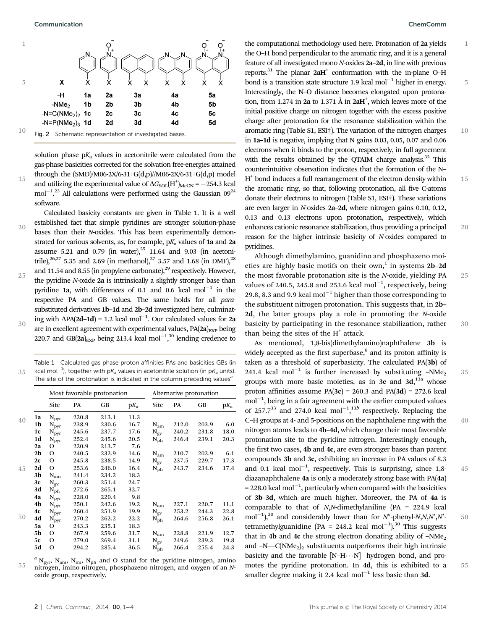15



solution phase  $pK_a$  values in acetonitrile were calculated from the gas-phase basicities corrected for the solvation free-energies attained through the  $(SMD)/M06-2X/6-31+G(d,p)/M06-2X/6-31+G(d,p)$  model and utilizing the experimental value of  $\Delta G_{\rm SOL}({\rm H^+})_{\rm MeCN}$  =  $-254.3$  kcal  $mol^{-1}$ <sup>23</sup> All calculations were performed using the Gaussian  $09^{24}$ software.

Calculated basicity constants are given in Table 1. It is a well established fact that simple pyridines are stronger solution-phase bases than their N-oxides. This has been experimentally demonstrated for various solvents, as, for example,  $pK_a$  values of 1a and 2a assume 5.21 and 0.79 (in water), $25$  11.64 and 9.03 (in acetonitrile),<sup>26,27</sup> 5.35 and 2.69 (in methanol),<sup>27</sup> 3.57 and 1.68 (in DMF),<sup>28</sup> and 11.54 and 8.55 (in propylene carbonate), $^{29}$  respectively. However, the pyridine N-oxide 2a is intrinsically a slightly stronger base than pyridine 1a, with differences of 0.1 and 0.6 kcal mol<sup>-1</sup> in the respective PA and GB values. The same holds for all parasubstituted derivatives 1b–1d and 2b–2d investigated here, culminating with  $\Delta PA(2d-1d) = 1.2$  kcal mol<sup>-1</sup>. Our calculated values for 2a are in excellent agreement with experimental values,  $PA(2a)_{EXP}$  being 220.7 and GB(2a)<sub>EXP</sub> being 213.4 kcal mol<sup>-1</sup>,<sup>30</sup> lending credence to 20 25 30

35 Table 1 Calculated gas phase proton affinities PAs and basicities GBs (in kcal mol $^{-1}$ ), together with p $\mathcal{K}_{\mathsf{a}}$  values in acetonitrile solution (in p $\mathcal{K}_{\mathsf{a}}$  units). The site of the protonation is indicated in the column preceding values<sup>a</sup>

|    |                 |       | Most favorable protonation | Alternative protonation |                  |       |       |        |
|----|-----------------|-------|----------------------------|-------------------------|------------------|-------|-------|--------|
|    | Site            | PA    | GB                         | $pK_a$                  | Site             | PA    | GВ    | $pK_a$ |
| 1a | $N_{pyr}$       | 220.8 | 213.1                      | 11.3                    |                  |       |       |        |
| 1b | $\rm N_{pyr}$   | 238.9 | 230.6                      | 16.7                    | $\rm N_{am}$     | 212.0 | 203.9 | 6.0    |
| 1c | $\rm N_{pyr}$   | 245.6 | 237.7                      | 17.6                    | $\rm N_{\rm ev}$ | 240.2 | 231.8 | 18.0   |
| 1d | $\rm N_{pyr}$   | 252.4 | 245.6                      | 20.5                    | $\rm N_{ph}$     | 246.4 | 239.1 | 20.3   |
| 2a | Ω               | 220.9 | 213.7                      | 7.6                     |                  |       |       |        |
| 2b | O               | 240.5 | 232.9                      | 14.6                    | $N_{am}$         | 210.7 | 202.9 | 6.1    |
| 2c | O               | 245.8 | 238.5                      | 14.9                    | $N_{\rm ev}$     | 237.5 | 229.7 | 17.3   |
| 2d | O               | 253.6 | 246.0                      | 16.4                    | $N_{\rm ph}$     | 243.7 | 234.6 | 17.4   |
| 3b | $N_{am}$        | 241.4 | 234.2                      | 18.3                    |                  |       |       |        |
| 3c | $N_{\text{ev}}$ | 260.3 | 251.4                      | 24.7                    |                  |       |       |        |
| 3d | $N_{\rm ph}$    | 272.6 | 265.1                      | 32.7                    |                  |       |       |        |
| 4a | $\rm N_{pyr}$   | 228.0 | 220.4                      | 9.8                     |                  |       |       |        |
| 4b | $\rm N_{pyr}$   | 250.1 | 242.6                      | 19.2                    | $N_{am}$         | 227.1 | 220.7 | 11.1   |
| 4c | $\rm N_{pyr}$   | 260.4 | 251.9                      | 19.9                    | $\rm N_{\rm ev}$ | 253.2 | 244.3 | 22.8   |
| 4d | $\rm N_{pyr}$   | 270.2 | 262.2                      | 22.2                    | $\rm N_{ph}$     | 264.6 | 256.8 | 26.1   |
| 5a | О               | 243.3 | 235.1                      | 18.3                    |                  |       |       |        |
| 5b | O               | 267.9 | 259.6                      | 31.7                    | $\rm N_{am}$     | 228.8 | 221.9 | 12.7   |
| 5c | $\Omega$        | 279.0 | 269.4                      | 31.1                    | $N_{\rm ev}$     | 249.6 | 239.3 | 19.8   |
| 5d | O               | 294.2 | 285.4                      | 36.5                    | $\rm N_{ph}$     | 266.4 | 255.4 | 24.3   |

55  $a$  N<sub>pyr</sub>, N<sub>am</sub>, N<sub>im</sub>, N<sub>ph</sub> and O stand for the pyridine nitrogen, amino nitrogen, imino nitrogen, phosphazeno nitrogen, and oxygen of an Noxide group, respectively.

1

5

10

15

20

25

30

35

40

45

50

55

the computational methodology used here. Protonation of 2a yields the O–H bond perpendicular to the aromatic ring, and it is a general feature of all investigated mono N-oxides 2a–2d, in line with previous reports.<sup>31</sup> The planar  $2aH^+$  conformation with the in-plane O–H bond is a transition state structure 1.9 kcal mol $^{-1}$  higher in energy. Interestingly, the N–O distance becomes elongated upon protonation, from 1.274 in 2a to 1.371 Å in  $2aH^+$ , which leaves more of the initial positive charge on nitrogen together with the excess positive charge after protonation for the resonance stabilization within the aromatic ring (Table S1, ESI†). The variation of the nitrogen charges in 1a–1d is negative, implying that N gains 0.03, 0.05, 0.07 and 0.06 electrons when it binds to the proton, respectively, in full agreement with the results obtained by the OTAIM charge analysis.<sup>32</sup> This counterintuitive observation indicates that the formation of the N–  $H<sup>+</sup>$  bond induces a full rearrangement of the electron density within the aromatic ring, so that, following protonation, all five C-atoms donate their electrons to nitrogen (Table S1, ESI†). These variations are even larger in N-oxides 2a–2d, where nitrogen gains 0.10, 0.12, 0.13 and 0.13 electrons upon protonation, respectively, which enhances cationic resonance stabilization, thus providing a principal reason for the higher intrinsic basicity of N-oxides compared to pyridines.

Although dimethylamino, guanidino and phosphazeno moieties are highly basic motifs on their own,<sup>1</sup> in systems  $2b-2d$ the most favorable protonation site is the N-oxide, yielding PA values of 240.5, 245.8 and 253.6 kcal mol $^{-1}$ , respectively, being 29.8, 8.3 and 9.9 kcal mol $^{-1}$  higher than those corresponding to the substituent nitrogen protonation. This suggests that, in 2b– 2d, the latter groups play a role in promoting the N-oxide basicity by participating in the resonance stabilization, rather than being the sites of the  $H^+$  attack.

As mentioned, 1,8-bis(dimethylamino)naphthalene 3b is widely accepted as the first superbase, $8$  and its proton affinity is taken as a threshold of superbasicity. The calculated PA(3b) of 241.4 kcal mol<sup>-1</sup> is further increased by substituting  $-NMe<sub>2</sub>$ groups with more basic moieties, as in  $3c$  and  $3d,13a$  whose proton affinities assume  $PA(3c) = 260.3$  and  $PA(3d) = 272.6$  kcal  $mol^{-1}$ , being in a fair agreement with the earlier computed values of 257.7<sup>33</sup> and 274.0 kcal mol<sup>-1</sup>,<sup>13b</sup> respectively. Replacing the C–H groups at 4- and 5-positions on the naphthalene ring with the nitrogen atoms leads to 4b–4d, which change their most favorable protonation site to the pyridine nitrogen. Interestingly enough, the first two cases, 4b and 4c, are even stronger bases than parent compounds 3b and 3c, exhibiting an increase in PA values of 8.3 and 0.1 kcal  $mol^{-1}$ , respectively. This is surprising, since 1,8diazanaphthalene 4a is only a moderately strong base with PA(4a)  $= 228.0$  kcal mol<sup>-1</sup>, particularly when compared with the basicities of 3b–3d, which are much higher. Moreover, the PA of 4a is comparable to that of  $N<sub>1</sub>N$ -dimethylaniline (PA = 224.9 kcal mol<sup>-1</sup>),<sup>30</sup> and considerably lower than for N''-phenyl-N,N,N',N'. tetramethylguanidine (PA = 248.2 kcal mol<sup>-1</sup>).<sup>30</sup> This suggests that in 4b and 4c the strong electron donating ability of  $-NMe<sub>2</sub>$ and  $-N=C(NMe<sub>2</sub>)<sub>2</sub>$  substituents outperforms their high intrinsic basicity and the favorable  $[N-H\cdots N]^+$  hydrogen bond, and promotes the pyridine protonation. In 4d, this is exhibited to a smaller degree making it 2.4 kcal mol<sup>-1</sup> less basic than 3d.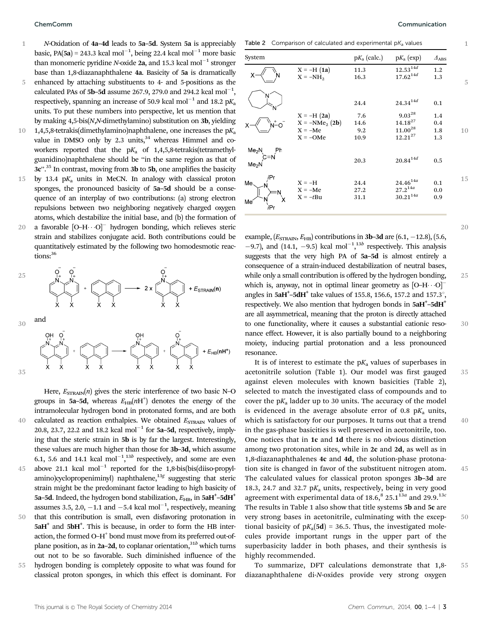35

N-Oxidation of 4a–4d leads to 5a–5d. System 5a is appreciably basic, PA(5a) = 243.3 kcal mol<sup>-1</sup>, being 22.4 kcal mol<sup>-1</sup> more basic than monomeric pyridine N-oxide 2a, and 15.3 kcal mol<sup>-1</sup> stronger base than 1,8-diazanaphthalene 4a. Basicity of 5a is dramatically enhanced by attaching substituents to 4- and 5-positions as the 1 5

- calculated PAs of  $5b$ –5d assume 267.9, 279.0 and 294.2 kcal mol $^{-1},$ respectively, spanning an increase of 50.9 kcal mol<sup>-1</sup> and 18.2 pK<sub>a</sub> units. To put these numbers into perspective, let us mention that by making 4,5-bis(N,N-dimethylamino) substitution on 3b, yielding
- 1,4,5,8-tetrakis(dimethylamino)naphthalene, one increases the  $pK_a$ value in DMSO only by  $2.3$  units,<sup>34</sup> whereas Himmel and coworkers reported that the  $pK_a$  of 1,4,5,8-tetrakis(tetramethylguanidino)naphthalene should be ''in the same region as that of  $3c''$ .<sup>35</sup> In contrast, moving from 3b to 5b, one amplifies the basicity 10
- by 13.4  $pK_a$  units in MeCN. In analogy with classical proton sponges, the pronounced basicity of 5a–5d should be a consequence of an interplay of two contributions: (a) strong electron repulsions between two neighboring negatively charged oxygen atoms, which destabilize the initial base, and (b) the formation of 15
- a favorable  $\left[\text{O--H}\cdots\text{O}\right]^-$  hydrogen bonding, which relieves steric strain and stabilizes conjugate acid. Both contributions could be quantitatively estimated by the following two homodesmotic reactions: 36 20



Here,  $E_{\text{STRAIN}}(n)$  gives the steric interference of two basic N–O groups in 5a-5d, whereas  $E_{HB}(nH^+)$  denotes the energy of the intramolecular hydrogen bond in protonated forms, and are both calculated as reaction enthalpies. We obtained  $E_{\text{STRAIN}}$  values of 20.8, 23.7, 22.2 and 18.2 kcal mol<sup>-1</sup> for 5a–5d, respectively, implying that the steric strain in 5b is by far the largest. Interestingly, these values are much higher than those for 3b–3d, which assume 6.1, 5.6 and 14.1 kcal mol<sup>-1</sup>,<sup>13b</sup> respectively, and some are even above 21.1 kcal mol<sup>-1</sup> reported for the 1,8-bis(bis(diiso-propylamino)cyclopropeniminyl) naphthalene,<sup>13g</sup> suggesting that steric strain might be the predominant factor leading to high basicity of 5a-5d. Indeed, the hydrogen bond stabilization,  $E_{\rm HB}$ , in 5aH<sup>+</sup>-5dH<sup>+</sup> assumes 3.5, 2.0,  $-1.1$  and  $-5.4$  kcal mol<sup>-1</sup>, respectively, meaning that this contribution is small, even disfavoring protonation in  $5aH^+$  and  $5bH^+$ . This is because, in order to form the HB interaction, the formed O–H<sup>+</sup> bond must move from its preferred out-ofplane position, as in 2a–2d, to coplanar orientation,  $31<sup>b</sup>$  which turns out not to be so favorable. Such diminished influence of the 40 45 50 55

hydrogen bonding is completely opposite to what was found for classical proton sponges, in which this effect is dominant. For 1

20

25

30

35

40

45

50

Table 2 Comparison of calculated and experimental  $pK_a$  values

| System                                 |                                                             | $pK_a$ (calc.)             | $pK_a$ (exp)                                                | $\varDelta_{\mathrm{ABS}}$ |    |
|----------------------------------------|-------------------------------------------------------------|----------------------------|-------------------------------------------------------------|----------------------------|----|
|                                        | $X = -H(1a)$<br>$X = -NH2$                                  | 11.3<br>16.3               | $12.53^{14d}$<br>$17.62^{14d}$                              | 1.2<br>1.3                 | 5  |
|                                        |                                                             | 24.4                       | $24.34^{14d}$                                               | 0.1                        |    |
|                                        | $X = -H(2a)$<br>$X = -NMe2 (2b)$<br>$X = -Me$<br>$X = -OMe$ | 7.6<br>14.6<br>9.2<br>10.9 | $9.03^{28}$<br>$14.18^{27}$<br>$11.00^{28}$<br>$12.21^{27}$ | 1.4<br>0.4<br>1.8<br>1.3   | 10 |
| Me <sub>2</sub> N<br>Me <sub>2</sub> N |                                                             | 20.3                       | $20.84^{14d}$                                               | 0.5                        |    |
| Me.<br>Me<br><i>i</i> Pr               | $X = -H$<br>$X = -Me$<br>$X = -tBu$                         | 24.4<br>27.2<br>31.1       | $24.46^{\scriptstyle 14a}$<br>$27.2^{14a}$<br>$30.21^{14a}$ | 0.1<br>0.0<br>0.9          | 15 |

example,  $(E_{\text{STRAIN}}, E_{\text{HB}})$  contributions in 3b–3d are  $(6.1, -12.8)$ ,  $(5.6,$  $-9.7$ ), and  $(14.1, -9.5)$  kcal mol<sup>-1</sup>,<sup>13b</sup> respectively. This analysis suggests that the very high PA of 5a–5d is almost entirely a consequence of a strain-induced destabilization of neutral bases, while only a small contribution is offered by the hydrogen bonding, which is, anyway, not in optimal linear geometry as  $[O-H \cdots O]$ <sup>-</sup> angles in  $5aH^+$ -5d $H^+$  take values of 155.8, 156.6, 157.2 and 157.3°, respectively. We also mention that hydrogen bonds in  $5aH^+$ -5d $H^+$ are all asymmetrical, meaning that the proton is directly attached to one functionality, where it causes a substantial cationic resonance effect. However, it is also partially bound to a neighboring moiety, inducing partial protonation and a less pronounced resonance.

It is of interest to estimate the  $pK_a$  values of superbases in acetonitrile solution (Table 1). Our model was first gauged against eleven molecules with known basicities (Table 2), selected to match the investigated class of compounds and to cover the  $pK_a$  ladder up to 30 units. The accuracy of the model is evidenced in the average absolute error of 0.8  $pK_a$  units, which is satisfactory for our purposes. It turns out that a trend in the gas-phase basicities is well preserved in acetonitrile, too. One notices that in 1c and 1d there is no obvious distinction among two protonation sites, while in 2c and 2d, as well as in 1,8-diazanaphthalenes 4c and 4d, the solution-phase protonation site is changed in favor of the substituent nitrogen atom. The calculated values for classical proton sponges 3b–3d are 18.3, 24.7 and 32.7  $pK_a$  units, respectively, being in very good agreement with experimental data of  $18.6$ ,  $825.1^{13a}$  and  $29.9$ .  $13c$ The results in Table 1 also show that title systems 5b and 5c are very strong bases in acetonitrile, culminating with the exceptional basicity of  $pK_a(5d) = 36.5$ . Thus, the investigated molecules provide important rungs in the upper part of the superbasicity ladder in both phases, and their synthesis is highly recommended.

To summarize, DFT calculations demonstrate that 1,8 diazanaphthalene di-N-oxides provide very strong oxygen 55

This journal is © The Royal Society of Chemistry 2014 Chem. Commun., 2014, 00, 1-4 | 3